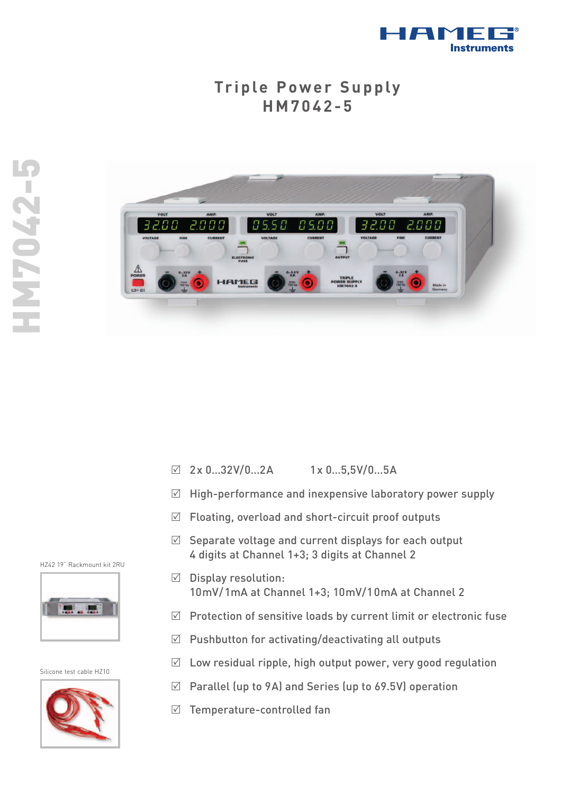

## **Triple Power Supply HM7042-5**



- $\boxtimes$  2x 0...32V/0...2A 1x 0...5,5V/0...5A
- $\sqrt{ }$ High-performance and inexpensive laboratory power supply
- $\boxtimes$  Floating, overload and short-circuit proof outputs
- $\boxtimes$  Separate voltage and current displays for each output 4 digits at Channel 1+3; 3 digits at Channel 2
- $\boxdot$  Display resolution: 10mV/1mA at Channel 1+3; 10mV/10mA at Channel 2
- $\boxtimes$  Protection of sensitive loads by current limit or electronic fuse
- $\boxtimes$  Pushbutton for activating/deactivating all outputs
- $\boxtimes$  Low residual ripple, high output power, very good regulation
- $\sqrt{}$ Parallel (up to 9A) and Series (up to 69.5V) operation
- $\boxdot$  Temperature-controlled fan

HZ42 19" Rackmount kit 2RU



Silicone test cable HZ10